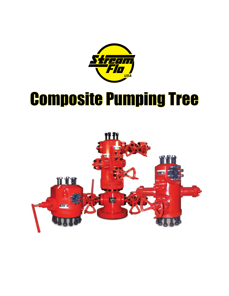

# Composite Pumping Tree

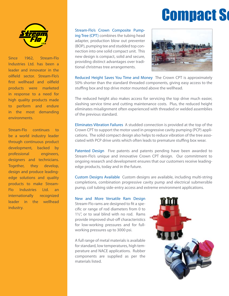# **Compact Solid**



Since 1962, Stream-Flo Industries Ltd. has been a leader and innovator in the oilfield sector. Stream-Flo's first wellhead and oilfield products were marketed in response to a need for high quality products made to perform and endure in the most demanding environments.

Stream-Flo continues to be a world industry leader through continuous product development, backed by professional engineers, designers and technicians. Together, they develop, design and produce leadingedge solutions and quality products to make Stream-Flo Industries Ltd. an internationally recognized leader in the wellhead industry.

Stream-Flo's Crown Composite Pumping Tree (CPT) combines the tubing head adapter, production blow out preventer (BOP), pumping tee and studded top connection into one solid compact unit. This new design is compact, solid and secure, providing distinct advantages over traditional christmas tree arrangements.



Reduced Height Saves You Time and Money The Crown CPT is approximately 50% shorter than the standard threaded components, giving easy access to the stuffing box and top drive motor mounted above the wellhead.

The reduced height also makes access for servicing the top drive much easier, slashing service time and cutting maintenance costs. Plus, the reduced height eliminates misalignment often experienced with threaded or welded assemblies of the previous standard.

Eliminates Vibration Failures A studded connection is provided at the top of the Crown CPT to support the motor used in progressive cavity pumping (PCP) applications. The solid compact design also helps to reduce vibration of the tree associated with PCP drive units which often leads to premature stuffing box wear.

Patented Design Five patents and patents pending have been awarded to Stream-Flo's unique and innovative Crown CPT design. Our commitment to ongoing research and development ensures that our customers receive leadingedge products, today and in the future.

Custom Designs Available Custom designs are available, including multi-string completions, combination progressive cavity pump and electrical submersible pump, coil tubing side-entry access and extreme environment applications.

New and More Versatile Ram Design Stream-Flo rams are designed to fit a specific or range of rod diameters from 0 to 1½", or to seal blind with no rod. Rams provide improved shut-off characteristics for low-working pressures and for fullworking pressures up to 3000 psi.

A full range of metal materials is available for standard, low temperatures, high temperature and NACE applications. Rubber components are supplied as per the materials listed.

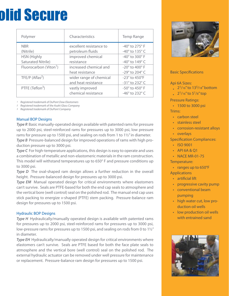# **olid Secure**

| Polymer                            | Characteristics         | <b>Temp Range</b>                  |
|------------------------------------|-------------------------|------------------------------------|
| <b>NBR</b>                         | excellent resistance to | $-40^\circ$ to 275 $^\circ$ F      |
| (Nitrile)                          | petroleum fluids        | -40° to 135° C                     |
| <b>HSN</b> (Highly                 | improved chemical       | $-40^\circ$ to 300 $^\circ$ F      |
| <b>Saturated Nitrile)</b>          | resistance              | -40 $^{\circ}$ to 149 $^{\circ}$ C |
| Fluorocarbon (Viton <sup>1</sup> ) | increased chemical and  | $-20^\circ$ to $400^\circ$ F       |
|                                    | heat resistance         | -29 $^{\circ}$ to 204 $^{\circ}$ C |
| TFE/P $(Aflas2)$                   | wider range of chemical | $-23^\circ$ to 450 $^\circ$ F      |
|                                    | and heat resistance     | -31° to 232° C                     |
| PTFE (Teflon <sup>3</sup> )        | vastly improved         | $-50^\circ$ to 450 $^\circ$ F      |
|                                    | chemical resistance     | -46° to 232° C                     |

*1 Registered trademark of DuPont Dow Elastomers*

*2 Registered trademark of the Asahi Glass Company*

*3 Registered trademark of DuPont Company*

### Manual BOP Designs

*Type R* Basic manually-operated design available with patented rams for pressure up to 2000 psi, steel-reinforced rams for pressures up to 3000 psi, low pressure rams for pressure up to 1500 psi, and sealing on rods from 1 to 1½" in diameter. *Type B* Pressure-balanced design for improved operations of rams with high production pressure up to 3000 psi.

**Type C** For high-temperature applications, this design is easy to operate and uses a combination of metallic and non-elastomeric materials in the ram construction. This model will withstand temperatures up to 650° F and pressure conditions up to 3000 psi.

**Type D** The oval-shaped ram design allows a further reduction in the overall height. Pressure-balanced design for pressures up to 3000 psi.

**Type EM** Manual operated design for critical environments where elastomers can't survive. Seals are PTFE-based for both the end cap seals to atmosphere and the vertical bore (well control) seal on the polished rod. The manual end cap uses stick packing to energize v-shaped (PTFE) stem packing. Pressure-balance ram design for pressures up to 1500 psi.

### Hydraulic BOP Designs

**Type H** Hydraulically/manually operated design is available with patented rams for pressures up to 2000 psi, steel-reinforced rams for pressures up to 3000 psi, low-pressure rams for pressures up to 1500 psi, and sealing on rods from 0 to 1½" in diameter.

*Type EH* Hydraulically/manually operated design for critical environments where elastomers can't survive. Seals are PTFE based for both the face plate seals to atmosphere and the vertical bore (well control) seal on the polished rod. The external hydraulic actuator can be removed under well pressure for maintenance or replacement. Pressure-balance ram design for pressures up to 1500 psi.



## Basic Specifications

Api 6A Sizes:

- $\frac{2^{1}}{16}$  to 13<sup>5</sup>/18" bottom
- $2^{1/16}$ " to  $5^{1/8}$ " top

Pressure Ratings:

• 1500 to 3000 psi

Trims:

- carbon steel
- stainless steel
- corrosion-resistant alloys
- overlays

#### Specification Compliances:

- ISO 9001
- API 6A & Q1
- NACE MR-01-75

Temperature:

• ranges up to 650°F

**Applications** 

- artificial lift
- progressive cavity pump
- conventional beam pumping
- high water cut, low production oil wells
- low production oil wells with entrained sand